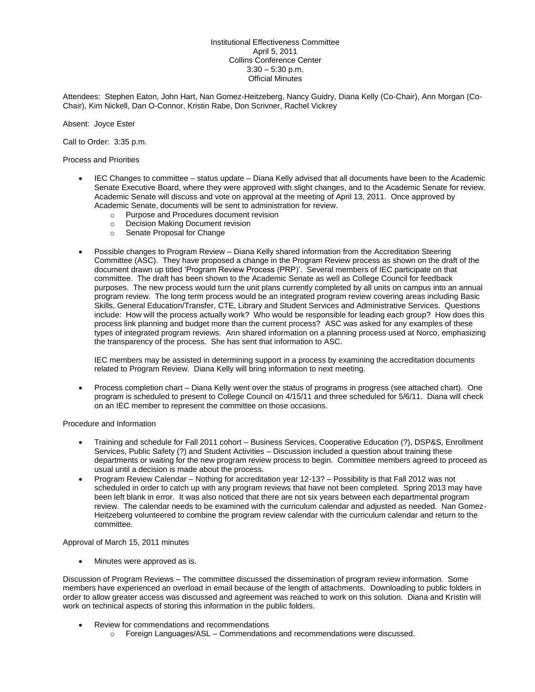## Institutional Effectiveness Committee April 5, 2011 Collins Conference Center  $3:30 - 5:30$  p.m. Official Minutes

Attendees: Stephen Eaton, John Hart, Nan Gomez-Heitzeberg, Nancy Guidry, Diana Kelly (Co-Chair), Ann Morgan (Co-Chair), Kim Nickell, Dan O-Connor, Kristin Rabe, Don Scrivner, Rachel Vickrey

Absent: Joyce Ester

Call to Order: 3:35 p.m.

Process and Priorities

- IEC Changes to committee status update Diana Kelly advised that all documents have been to the Academic Senate Executive Board, where they were approved with slight changes, and to the Academic Senate for review. Academic Senate will discuss and vote on approval at the meeting of April 13, 2011. Once approved by Academic Senate, documents will be sent to administration for review.
	- o Purpose and Procedures document revision
	- o Decision Making Document revision
	- o Senate Proposal for Change
- Possible changes to Program Review Diana Kelly shared information from the Accreditation Steering Committee (ASC). They have proposed a change in the Program Review process as shown on the draft of the document drawn up titled 'Program Review Process (PRP)'. Several members of IEC participate on that committee. The draft has been shown to the Academic Senate as well as College Council for feedback purposes. The new process would turn the unit plans currently completed by all units on campus into an annual program review. The long term process would be an integrated program review covering areas including Basic Skills, General Education/Transfer, CTE, Library and Student Services and Administrative Services. Questions include: How will the process actually work? Who would be responsible for leading each group? How does this process link planning and budget more than the current process? ASC was asked for any examples of these types of integrated program reviews. Ann shared information on a planning process used at Norco, emphasizing the transparency of the process. She has sent that information to ASC.

IEC members may be assisted in determining support in a process by examining the accreditation documents related to Program Review. Diana Kelly will bring information to next meeting.

 Process completion chart – Diana Kelly went over the status of programs in progress (see attached chart). One program is scheduled to present to College Council on 4/15/11 and three scheduled for 5/6/11. Diana will check on an IEC member to represent the committee on those occasions.

Procedure and Information

- Training and schedule for Fall 2011 cohort Business Services, Cooperative Education (?), DSP&S, Enrollment Services, Public Safety (?) and Student Activities – Discussion included a question about training these departments or waiting for the new program review process to begin. Committee members agreed to proceed as usual until a decision is made about the process.
- Program Review Calendar Nothing for accreditation year 12-13? Possibility is that Fall 2012 was not scheduled in order to catch up with any program reviews that have not been completed. Spring 2013 may have been left blank in error. It was also noticed that there are not six years between each departmental program review. The calendar needs to be examined with the curriculum calendar and adjusted as needed. Nan Gomez-Heitzeberg volunteered to combine the program review calendar with the curriculum calendar and return to the committee.

Approval of March 15, 2011 minutes

Minutes were approved as is.

Discussion of Program Reviews – The committee discussed the dissemination of program review information. Some members have experienced an overload in email because of the length of attachments. Downloading to public folders in order to allow greater access was discussed and agreement was reached to work on this solution. Diana and Kristin will work on technical aspects of storing this information in the public folders.

- Review for commendations and recommendations
	- o Foreign Languages/ASL Commendations and recommendations were discussed.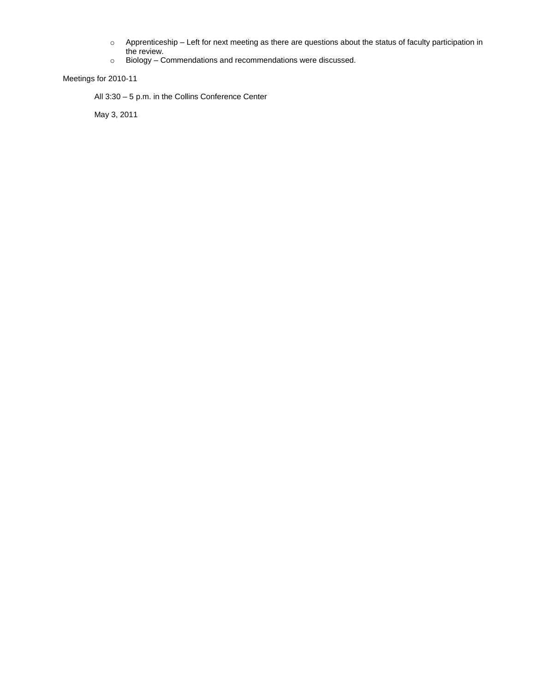- o Apprenticeship Left for next meeting as there are questions about the status of faculty participation in the review.
- o Biology Commendations and recommendations were discussed.

## Meetings for 2010-11

All 3:30 – 5 p.m. in the Collins Conference Center

May 3, 2011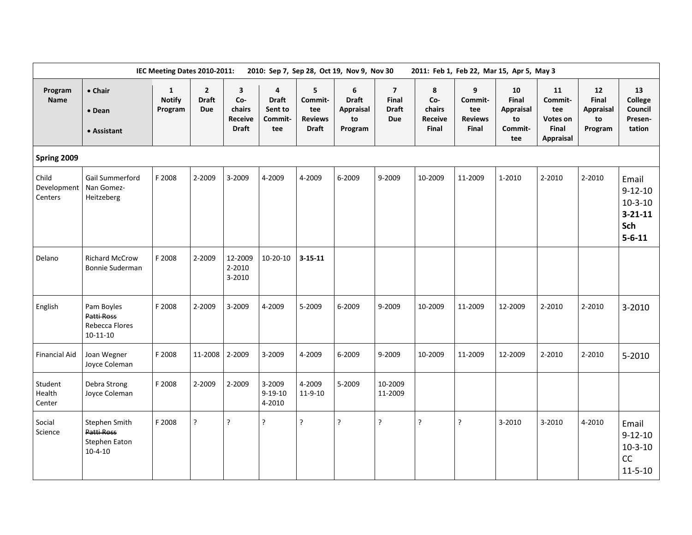| IEC Meeting Dates 2010-2011:<br>2010: Sep 7, Sep 28, Oct 19, Nov 9, Nov 30 |                                                                      |                                          |                                            |                                                                     |                                                |                                                       |                                                 |                                                |                                        | 2011: Feb 1, Feb 22, Mar 15, Apr 5, May 3      |                                                  |                                                               |                                                  |                                                                                 |  |  |
|----------------------------------------------------------------------------|----------------------------------------------------------------------|------------------------------------------|--------------------------------------------|---------------------------------------------------------------------|------------------------------------------------|-------------------------------------------------------|-------------------------------------------------|------------------------------------------------|----------------------------------------|------------------------------------------------|--------------------------------------------------|---------------------------------------------------------------|--------------------------------------------------|---------------------------------------------------------------------------------|--|--|
| Program<br><b>Name</b>                                                     | • Chair<br>• Dean<br>• Assistant                                     | $\mathbf{1}$<br><b>Notify</b><br>Program | $\mathbf{2}$<br><b>Draft</b><br><b>Due</b> | $\overline{\mathbf{3}}$<br>Co-<br>chairs<br>Receive<br><b>Draft</b> | 4<br><b>Draft</b><br>Sent to<br>Commit-<br>tee | 5<br>Commit-<br>tee<br><b>Reviews</b><br><b>Draft</b> | 6<br><b>Draft</b><br>Appraisal<br>to<br>Program | $\overline{7}$<br>Final<br><b>Draft</b><br>Due | 8<br>Co-<br>chairs<br>Receive<br>Final | 9<br>Commit-<br>tee<br><b>Reviews</b><br>Final | 10<br>Final<br>Appraisal<br>to<br>Commit-<br>tee | 11<br>Commit-<br>tee<br>Votes on<br>Final<br><b>Appraisal</b> | 12<br>Final<br><b>Appraisal</b><br>to<br>Program | 13<br>College<br>Council<br>Presen-<br>tation                                   |  |  |
| Spring 2009                                                                |                                                                      |                                          |                                            |                                                                     |                                                |                                                       |                                                 |                                                |                                        |                                                |                                                  |                                                               |                                                  |                                                                                 |  |  |
| Child<br>Development<br>Centers                                            | <b>Gail Summerford</b><br>Nan Gomez-<br>Heitzeberg                   | F 2008                                   | 2-2009                                     | 3-2009                                                              | 4-2009                                         | 4-2009                                                | 6-2009                                          | 9-2009                                         | 10-2009                                | 11-2009                                        | 1-2010                                           | 2-2010                                                        | 2-2010                                           | Email<br>$9 - 12 - 10$<br>$10 - 3 - 10$<br>$3 - 21 - 11$<br>Sch<br>$5 - 6 - 11$ |  |  |
| Delano                                                                     | <b>Richard McCrow</b><br><b>Bonnie Suderman</b>                      | F 2008                                   | 2-2009                                     | 12-2009<br>2-2010<br>3-2010                                         | $10-20-10$                                     | $3 - 15 - 11$                                         |                                                 |                                                |                                        |                                                |                                                  |                                                               |                                                  |                                                                                 |  |  |
| English                                                                    | Pam Boyles<br>Patti Ross<br>Rebecca Flores<br>$10-11-10$             | F 2008                                   | 2-2009                                     | 3-2009                                                              | 4-2009                                         | 5-2009                                                | 6-2009                                          | 9-2009                                         | 10-2009                                | 11-2009                                        | 12-2009                                          | 2-2010                                                        | 2-2010                                           | 3-2010                                                                          |  |  |
| <b>Financial Aid</b>                                                       | Joan Wegner<br>Joyce Coleman                                         | F 2008                                   | 11-2008                                    | 2-2009                                                              | 3-2009                                         | 4-2009                                                | 6-2009                                          | 9-2009                                         | 10-2009                                | 11-2009                                        | 12-2009                                          | 2-2010                                                        | 2-2010                                           | 5-2010                                                                          |  |  |
| Student<br>Health<br>Center                                                | Debra Strong<br>Joyce Coleman                                        | F 2008                                   | 2-2009                                     | 2-2009                                                              | 3-2009<br>$9 - 19 - 10$<br>4-2010              | 4-2009<br>$11 - 9 - 10$                               | 5-2009                                          | 10-2009<br>11-2009                             |                                        |                                                |                                                  |                                                               |                                                  |                                                                                 |  |  |
| Social<br>Science                                                          | Stephen Smith<br>Patti Ross<br><b>Stephen Eaton</b><br>$10 - 4 - 10$ | F 2008                                   | ?                                          | ?                                                                   | ?                                              | ŗ                                                     | ?                                               | ?                                              | ?                                      | ?                                              | 3-2010                                           | 3-2010                                                        | 4-2010                                           | Email<br>$9 - 12 - 10$<br>$10-3-10$<br>CC<br>$11 - 5 - 10$                      |  |  |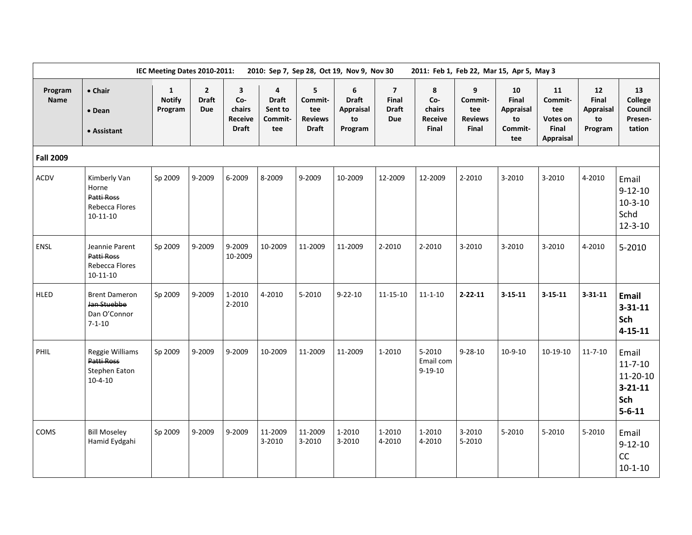| IEC Meeting Dates 2010-2011:<br>2010: Sep 7, Sep 28, Oct 19, Nov 9, Nov 30 |                                                                        |                                          |                                            |                                                                            |                                                |                                                       |                                                 |                                                |                                               | 2011: Feb 1, Feb 22, Mar 15, Apr 5, May 3      |                                                  |                                                               |                                                  |                                                                              |  |  |
|----------------------------------------------------------------------------|------------------------------------------------------------------------|------------------------------------------|--------------------------------------------|----------------------------------------------------------------------------|------------------------------------------------|-------------------------------------------------------|-------------------------------------------------|------------------------------------------------|-----------------------------------------------|------------------------------------------------|--------------------------------------------------|---------------------------------------------------------------|--------------------------------------------------|------------------------------------------------------------------------------|--|--|
| Program<br><b>Name</b>                                                     | • Chair<br>• Dean<br>• Assistant                                       | $\mathbf{1}$<br><b>Notify</b><br>Program | $\mathbf{2}$<br><b>Draft</b><br><b>Due</b> | $\overline{\mathbf{3}}$<br>Co-<br>chairs<br><b>Receive</b><br><b>Draft</b> | 4<br><b>Draft</b><br>Sent to<br>Commit-<br>tee | 5<br>Commit-<br>tee<br><b>Reviews</b><br><b>Draft</b> | 6<br><b>Draft</b><br>Appraisal<br>to<br>Program | $\overline{7}$<br>Final<br><b>Draft</b><br>Due | 8<br>Co-<br>chairs<br><b>Receive</b><br>Final | 9<br>Commit-<br>tee<br><b>Reviews</b><br>Final | 10<br>Final<br>Appraisal<br>to<br>Commit-<br>tee | 11<br>Commit-<br>tee<br>Votes on<br>Final<br><b>Appraisal</b> | 12<br>Final<br><b>Appraisal</b><br>to<br>Program | 13<br>College<br>Council<br>Presen-<br>tation                                |  |  |
| <b>Fall 2009</b>                                                           |                                                                        |                                          |                                            |                                                                            |                                                |                                                       |                                                 |                                                |                                               |                                                |                                                  |                                                               |                                                  |                                                                              |  |  |
| <b>ACDV</b>                                                                | Kimberly Van<br>Horne<br>Patti Ross<br>Rebecca Flores<br>$10-11-10$    | Sp 2009                                  | 9-2009                                     | 6-2009                                                                     | 8-2009                                         | 9-2009                                                | 10-2009                                         | 12-2009                                        | 12-2009                                       | 2-2010                                         | 3-2010                                           | 3-2010                                                        | 4-2010                                           | Email<br>$9 - 12 - 10$<br>$10-3-10$<br>Schd<br>$12 - 3 - 10$                 |  |  |
| <b>ENSL</b>                                                                | Jeannie Parent<br>Patti Ross<br>Rebecca Flores<br>$10-11-10$           | Sp 2009                                  | 9-2009                                     | 9-2009<br>10-2009                                                          | 10-2009                                        | 11-2009                                               | 11-2009                                         | 2-2010                                         | 2-2010                                        | 3-2010                                         | 3-2010                                           | 3-2010                                                        | 4-2010                                           | 5-2010                                                                       |  |  |
| HLED                                                                       | <b>Brent Dameron</b><br>Jan Stuebbe<br>Dan O'Connor<br>$7 - 1 - 10$    | Sp 2009                                  | 9-2009                                     | 1-2010<br>2-2010                                                           | 4-2010                                         | 5-2010                                                | $9 - 22 - 10$                                   | $11 - 15 - 10$                                 | $11 - 1 - 10$                                 | $2 - 22 - 11$                                  | $3 - 15 - 11$                                    | $3 - 15 - 11$                                                 | $3 - 31 - 11$                                    | Email<br>$3 - 31 - 11$<br>Sch<br>$4 - 15 - 11$                               |  |  |
| <b>PHIL</b>                                                                | Reggie Williams<br>Patti Ross<br><b>Stephen Eaton</b><br>$10 - 4 - 10$ | Sp 2009                                  | 9-2009                                     | 9-2009                                                                     | 10-2009                                        | 11-2009                                               | 11-2009                                         | 1-2010                                         | 5-2010<br>Email com<br>$9 - 19 - 10$          | $9 - 28 - 10$                                  | $10-9-10$                                        | 10-19-10                                                      | $11 - 7 - 10$                                    | Email<br>$11 - 7 - 10$<br>$11-20-10$<br>$3 - 21 - 11$<br>Sch<br>$5 - 6 - 11$ |  |  |
| COMS                                                                       | <b>Bill Moseley</b><br>Hamid Eydgahi                                   | Sp 2009                                  | 9-2009                                     | 9-2009                                                                     | 11-2009<br>3-2010                              | 11-2009<br>3-2010                                     | 1-2010<br>3-2010                                | 1-2010<br>4-2010                               | 1-2010<br>4-2010                              | $3 - 2010$<br>5-2010                           | 5-2010                                           | 5-2010                                                        | 5-2010                                           | Email<br>$9 - 12 - 10$<br>cc<br>$10 - 1 - 10$                                |  |  |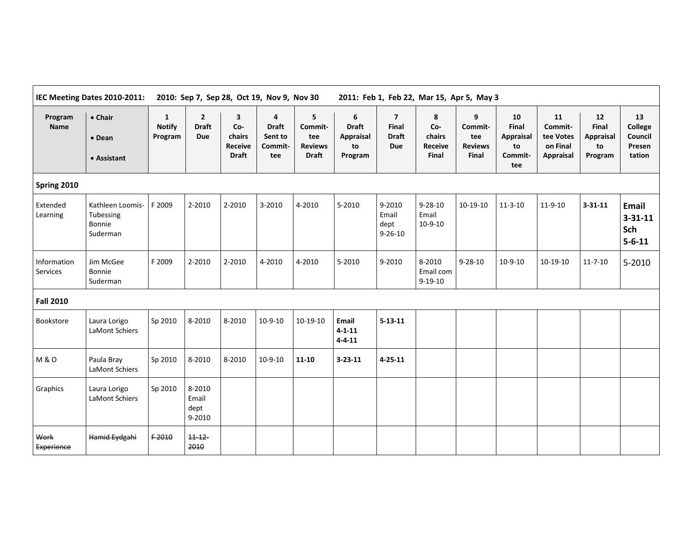|                         | IEC Meeting Dates 2010-2011:                        |                                          |                                              |                                                                 | 2010: Sep 7, Sep 28, Oct 19, Nov 9, Nov 30     |                                                       | 2011: Feb 1, Feb 22, Mar 15, Apr 5, May 3              |                                                       |                                        |                                                |                                                  |                                                     |                                           |                                               |  |
|-------------------------|-----------------------------------------------------|------------------------------------------|----------------------------------------------|-----------------------------------------------------------------|------------------------------------------------|-------------------------------------------------------|--------------------------------------------------------|-------------------------------------------------------|----------------------------------------|------------------------------------------------|--------------------------------------------------|-----------------------------------------------------|-------------------------------------------|-----------------------------------------------|--|
| Program<br>Name         | • Chair<br>• Dean<br>• Assistant                    | $\mathbf{1}$<br><b>Notify</b><br>Program | $\overline{2}$<br><b>Draft</b><br><b>Due</b> | $\mathbf{3}$<br>Co-<br>chairs<br><b>Receive</b><br><b>Draft</b> | 4<br><b>Draft</b><br>Sent to<br>Commit-<br>tee | 5<br>Commit-<br>tee<br><b>Reviews</b><br><b>Draft</b> | 6<br><b>Draft</b><br><b>Appraisal</b><br>to<br>Program | $\overline{7}$<br>Final<br><b>Draft</b><br><b>Due</b> | 8<br>Co-<br>chairs<br>Receive<br>Final | 9<br>Commit-<br>tee<br><b>Reviews</b><br>Final | 10<br>Final<br>Appraisal<br>to<br>Commit-<br>tee | 11<br>Commit-<br>tee Votes<br>on Final<br>Appraisal | 12<br>Final<br>Appraisal<br>to<br>Program | 13<br>College<br>Council<br>Presen<br>tation  |  |
| Spring 2010             |                                                     |                                          |                                              |                                                                 |                                                |                                                       |                                                        |                                                       |                                        |                                                |                                                  |                                                     |                                           |                                               |  |
| Extended<br>Learning    | Kathleen Loomis-<br>Tubessing<br>Bonnie<br>Suderman | F 2009                                   | 2-2010                                       | 2-2010                                                          | 3-2010                                         | 4-2010                                                | 5-2010                                                 | 9-2010<br>Email<br>dept<br>$9 - 26 - 10$              | $9 - 28 - 10$<br>Email<br>$10-9-10$    | $10-19-10$                                     | $11 - 3 - 10$                                    | $11 - 9 - 10$                                       | $3 - 31 - 11$                             | Email<br>$3 - 31 - 11$<br>Sch<br>$5 - 6 - 11$ |  |
| Information<br>Services | Jim McGee<br>Bonnie<br>Suderman                     | F 2009                                   | 2-2010                                       | 2-2010                                                          | 4-2010                                         | 4-2010                                                | 5-2010                                                 | 9-2010                                                | 8-2010<br>Email com<br>$9 - 19 - 10$   | $9 - 28 - 10$                                  | $10-9-10$                                        | $10-19-10$                                          | $11 - 7 - 10$                             | 5-2010                                        |  |
| <b>Fall 2010</b>        |                                                     |                                          |                                              |                                                                 |                                                |                                                       |                                                        |                                                       |                                        |                                                |                                                  |                                                     |                                           |                                               |  |
| Bookstore               | Laura Lorigo<br>LaMont Schiers                      | Sp 2010                                  | 8-2010                                       | 8-2010                                                          | $10-9-10$                                      | $10-19-10$                                            | Email<br>$4 - 1 - 11$<br>$4 - 4 - 11$                  | $5 - 13 - 11$                                         |                                        |                                                |                                                  |                                                     |                                           |                                               |  |
| <b>M&amp;O</b>          | Paula Bray<br>LaMont Schiers                        | Sp 2010                                  | 8-2010                                       | 8-2010                                                          | $10-9-10$                                      | $11 - 10$                                             | $3 - 23 - 11$                                          | $4 - 25 - 11$                                         |                                        |                                                |                                                  |                                                     |                                           |                                               |  |
| Graphics                | Laura Lorigo<br>LaMont Schiers                      | Sp 2010                                  | 8-2010<br>Email<br>dept<br>9-2010            |                                                                 |                                                |                                                       |                                                        |                                                       |                                        |                                                |                                                  |                                                     |                                           |                                               |  |
| Work<br>Experience      | Hamid Eydgahi                                       | F-2010                                   | $11 - 12$<br>2010                            |                                                                 |                                                |                                                       |                                                        |                                                       |                                        |                                                |                                                  |                                                     |                                           |                                               |  |

 $\blacksquare$ 

 $\blacksquare$